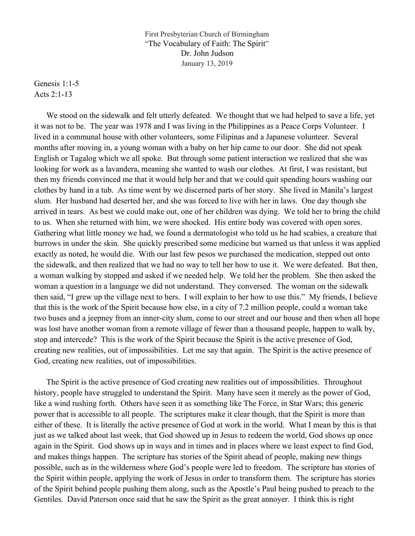First Presbyterian Church of Birmingham "The Vocabulary of Faith: The Spirit" Dr. John Judson January 13, 2019

Genesis 1:1-5 Acts 2:1-13

 We stood on the sidewalk and felt utterly defeated. We thought that we had helped to save a life, yet it was not to be. The year was 1978 and I was living in the Philippines as a Peace Corps Volunteer. I lived in a communal house with other volunteers, some Filipinas and a Japanese volunteer. Several months after moving in, a young woman with a baby on her hip came to our door. She did not speak English or Tagalog which we all spoke. But through some patient interaction we realized that she was looking for work as a lavandera, meaning she wanted to wash our clothes. At first, I was resistant, but then my friends convinced me that it would help her and that we could quit spending hours washing our clothes by hand in a tub. As time went by we discerned parts of her story. She lived in Manila's largest slum. Her husband had deserted her, and she was forced to live with her in laws. One day though she arrived in tears. As best we could make out, one of her children was dying. We told her to bring the child to us. When she returned with him, we were shocked. His entire body was covered with open sores. Gathering what little money we had, we found a dermatologist who told us he had scabies, a creature that burrows in under the skin. She quickly prescribed some medicine but warned us that unless it was applied exactly as noted, he would die. With our last few pesos we purchased the medication, stepped out onto the sidewalk, and then realized that we had no way to tell her how to use it. We were defeated. But then, a woman walking by stopped and asked if we needed help. We told her the problem. She then asked the woman a question in a language we did not understand. They conversed. The woman on the sidewalk then said, "I grew up the village next to hers. I will explain to her how to use this." My friends, I believe that this is the work of the Spirit because how else, in a city of 7.2 million people, could a woman take two buses and a jeepney from an inner-city slum, come to our street and our house and then when all hope was lost have another woman from a remote village of fewer than a thousand people, happen to walk by, stop and intercede? This is the work of the Spirit because the Spirit is the active presence of God, creating new realities, out of impossibilities. Let me say that again. The Spirit is the active presence of God, creating new realities, out of impossibilities.

 The Spirit is the active presence of God creating new realities out of impossibilities. Throughout history, people have struggled to understand the Spirit. Many have seen it merely as the power of God, like a wind rushing forth. Others have seen it as something like The Force, in Star Wars; this generic power that is accessible to all people. The scriptures make it clear though, that the Spirit is more than either of these. It is literally the active presence of God at work in the world. What I mean by this is that just as we talked about last week, that God showed up in Jesus to redeem the world, God shows up once again in the Spirit. God shows up in ways and in times and in places where we least expect to find God, and makes things happen. The scripture has stories of the Spirit ahead of people, making new things possible, such as in the wilderness where God's people were led to freedom. The scripture has stories of the Spirit within people, applying the work of Jesus in order to transform them. The scripture has stories of the Spirit behind people pushing them along, such as the Apostle's Paul being pushed to preach to the Gentiles. David Paterson once said that he saw the Spirit as the great annoyer. I think this is right